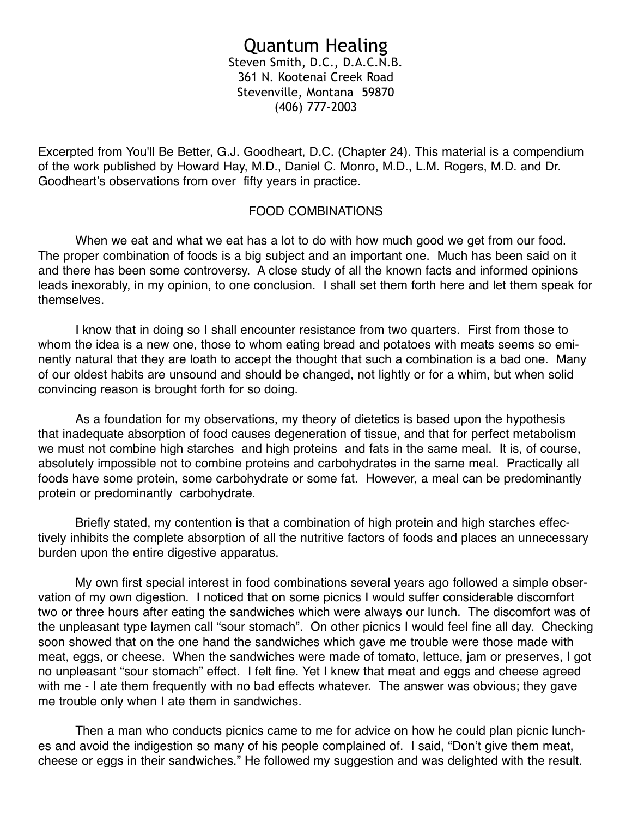# Quantum Healing

Steven Smith, D.C., D.A.C.N.B. 361 N. Kootenai Creek Road Stevenville, Montana 59870 (406) 777-2003

Excerpted from You'll Be Better, G.J. Goodheart, D.C. (Chapter 24). This material is a compendium of the work published by Howard Hay, M.D., Daniel C. Monro, M.D., L.M. Rogers, M.D. and Dr. Goodheart's observations from over fifty years in practice.

#### FOOD COMBINATIONS

 When we eat and what we eat has a lot to do with how much good we get from our food. The proper combination of foods is a big subject and an important one. Much has been said on it and there has been some controversy. A close study of all the known facts and informed opinions leads inexorably, in my opinion, to one conclusion. I shall set them forth here and let them speak for themselves.

 I know that in doing so I shall encounter resistance from two quarters. First from those to whom the idea is a new one, those to whom eating bread and potatoes with meats seems so eminently natural that they are loath to accept the thought that such a combination is a bad one. Many of our oldest habits are unsound and should be changed, not lightly or for a whim, but when solid convincing reason is brought forth for so doing.

 As a foundation for my observations, my theory of dietetics is based upon the hypothesis that inadequate absorption of food causes degeneration of tissue, and that for perfect metabolism we must not combine high starches and high proteins and fats in the same meal. It is, of course, absolutely impossible not to combine proteins and carbohydrates in the same meal. Practically all foods have some protein, some carbohydrate or some fat. However, a meal can be predominantly protein or predominantly carbohydrate.

 Briefly stated, my contention is that a combination of high protein and high starches effectively inhibits the complete absorption of all the nutritive factors of foods and places an unnecessary burden upon the entire digestive apparatus.

 My own first special interest in food combinations several years ago followed a simple observation of my own digestion. I noticed that on some picnics I would suffer considerable discomfort two or three hours after eating the sandwiches which were always our lunch. The discomfort was of the unpleasant type laymen call "sour stomach". On other picnics I would feel fine all day. Checking soon showed that on the one hand the sandwiches which gave me trouble were those made with meat, eggs, or cheese. When the sandwiches were made of tomato, lettuce, jam or preserves, I got no unpleasant "sour stomach" effect. I felt fine. Yet I knew that meat and eggs and cheese agreed with me - I ate them frequently with no bad effects whatever. The answer was obvious; they gave me trouble only when I ate them in sandwiches.

 Then a man who conducts picnics came to me for advice on how he could plan picnic lunches and avoid the indigestion so many of his people complained of. I said, "Don't give them meat, cheese or eggs in their sandwiches." He followed my suggestion and was delighted with the result.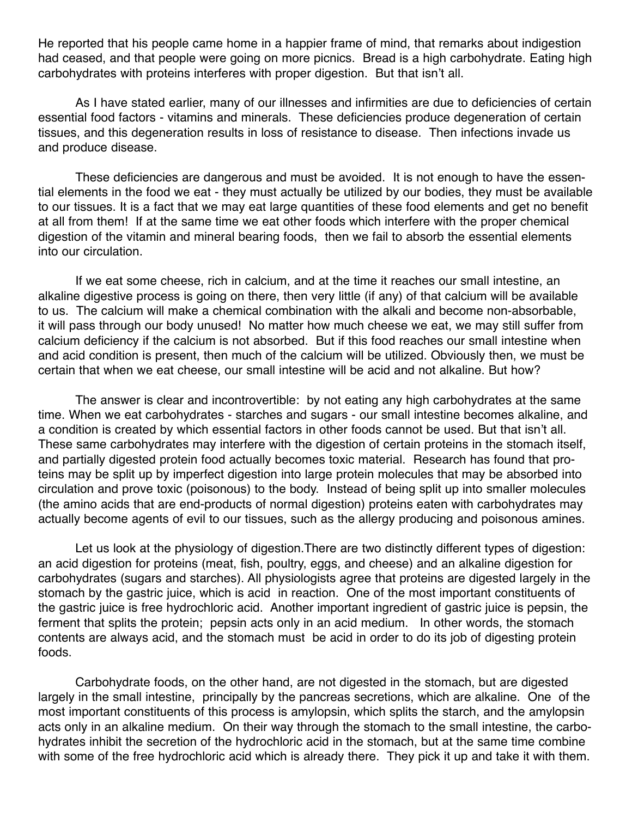He reported that his people came home in a happier frame of mind, that remarks about indigestion had ceased, and that people were going on more picnics. Bread is a high carbohydrate. Eating high carbohydrates with proteins interferes with proper digestion. But that isn't all.

 As I have stated earlier, many of our illnesses and infirmities are due to deficiencies of certain essential food factors - vitamins and minerals. These deficiencies produce degeneration of certain tissues, and this degeneration results in loss of resistance to disease. Then infections invade us and produce disease.

 These deficiencies are dangerous and must be avoided. It is not enough to have the essential elements in the food we eat - they must actually be utilized by our bodies, they must be available to our tissues. It is a fact that we may eat large quantities of these food elements and get no benefit at all from them! If at the same time we eat other foods which interfere with the proper chemical digestion of the vitamin and mineral bearing foods, then we fail to absorb the essential elements into our circulation.

 If we eat some cheese, rich in calcium, and at the time it reaches our small intestine, an alkaline digestive process is going on there, then very little (if any) of that calcium will be available to us. The calcium will make a chemical combination with the alkali and become non-absorbable, it will pass through our body unused! No matter how much cheese we eat, we may still suffer from calcium deficiency if the calcium is not absorbed. But if this food reaches our small intestine when and acid condition is present, then much of the calcium will be utilized. Obviously then, we must be certain that when we eat cheese, our small intestine will be acid and not alkaline. But how?

 The answer is clear and incontrovertible: by not eating any high carbohydrates at the same time. When we eat carbohydrates - starches and sugars - our small intestine becomes alkaline, and a condition is created by which essential factors in other foods cannot be used. But that isn't all. These same carbohydrates may interfere with the digestion of certain proteins in the stomach itself, and partially digested protein food actually becomes toxic material. Research has found that proteins may be split up by imperfect digestion into large protein molecules that may be absorbed into circulation and prove toxic (poisonous) to the body. Instead of being split up into smaller molecules (the amino acids that are end-products of normal digestion) proteins eaten with carbohydrates may actually become agents of evil to our tissues, such as the allergy producing and poisonous amines.

 Let us look at the physiology of digestion.There are two distinctly different types of digestion: an acid digestion for proteins (meat, fish, poultry, eggs, and cheese) and an alkaline digestion for carbohydrates (sugars and starches). All physiologists agree that proteins are digested largely in the stomach by the gastric juice, which is acid in reaction. One of the most important constituents of the gastric juice is free hydrochloric acid. Another important ingredient of gastric juice is pepsin, the ferment that splits the protein; pepsin acts only in an acid medium. In other words, the stomach contents are always acid, and the stomach must be acid in order to do its job of digesting protein foods.

 Carbohydrate foods, on the other hand, are not digested in the stomach, but are digested largely in the small intestine, principally by the pancreas secretions, which are alkaline. One of the most important constituents of this process is amylopsin, which splits the starch, and the amylopsin acts only in an alkaline medium. On their way through the stomach to the small intestine, the carbohydrates inhibit the secretion of the hydrochloric acid in the stomach, but at the same time combine with some of the free hydrochloric acid which is already there. They pick it up and take it with them.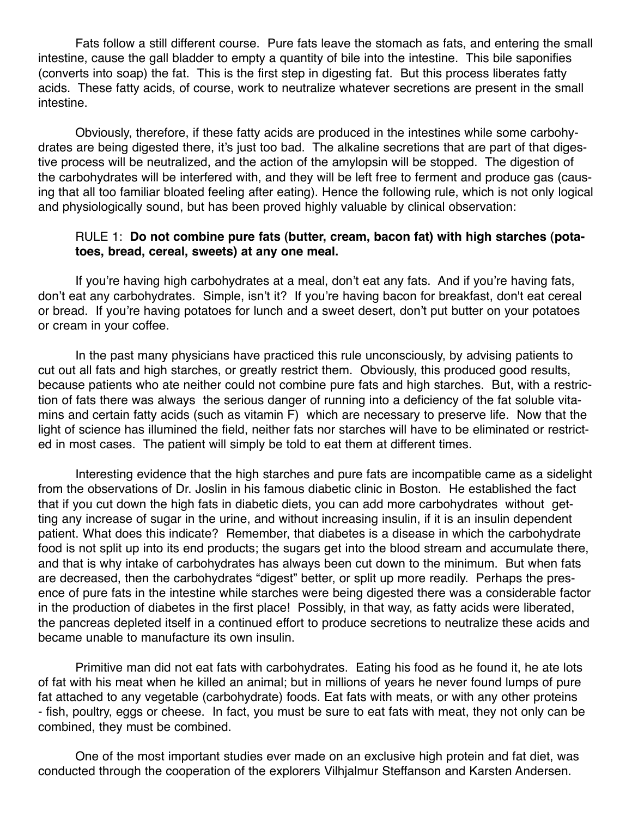Fats follow a still different course. Pure fats leave the stomach as fats, and entering the small intestine, cause the gall bladder to empty a quantity of bile into the intestine. This bile saponifies (converts into soap) the fat. This is the first step in digesting fat. But this process liberates fatty acids. These fatty acids, of course, work to neutralize whatever secretions are present in the small intestine.

 Obviously, therefore, if these fatty acids are produced in the intestines while some carbohydrates are being digested there, it's just too bad. The alkaline secretions that are part of that digestive process will be neutralized, and the action of the amylopsin will be stopped. The digestion of the carbohydrates will be interfered with, and they will be left free to ferment and produce gas (causing that all too familiar bloated feeling after eating). Hence the following rule, which is not only logical and physiologically sound, but has been proved highly valuable by clinical observation:

#### RULE 1: **Do not combine pure fats (butter, cream, bacon fat) with high starches (pota toes, bread, cereal, sweets) at any one meal.**

 If you're having high carbohydrates at a meal, don't eat any fats. And if you're having fats, don't eat any carbohydrates. Simple, isn't it? If you're having bacon for breakfast, don't eat cereal or bread. If you're having potatoes for lunch and a sweet desert, don't put butter on your potatoes or cream in your coffee.

 In the past many physicians have practiced this rule unconsciously, by advising patients to cut out all fats and high starches, or greatly restrict them. Obviously, this produced good results, because patients who ate neither could not combine pure fats and high starches. But, with a restriction of fats there was always the serious danger of running into a deficiency of the fat soluble vitamins and certain fatty acids (such as vitamin F) which are necessary to preserve life. Now that the light of science has illumined the field, neither fats nor starches will have to be eliminated or restricted in most cases. The patient will simply be told to eat them at different times.

 Interesting evidence that the high starches and pure fats are incompatible came as a sidelight from the observations of Dr. Joslin in his famous diabetic clinic in Boston. He established the fact that if you cut down the high fats in diabetic diets, you can add more carbohydrates without getting any increase of sugar in the urine, and without increasing insulin, if it is an insulin dependent patient. What does this indicate? Remember, that diabetes is a disease in which the carbohydrate food is not split up into its end products; the sugars get into the blood stream and accumulate there, and that is why intake of carbohydrates has always been cut down to the minimum. But when fats are decreased, then the carbohydrates "digest" better, or split up more readily. Perhaps the presence of pure fats in the intestine while starches were being digested there was a considerable factor in the production of diabetes in the first place! Possibly, in that way, as fatty acids were liberated, the pancreas depleted itself in a continued effort to produce secretions to neutralize these acids and became unable to manufacture its own insulin.

 Primitive man did not eat fats with carbohydrates. Eating his food as he found it, he ate lots of fat with his meat when he killed an animal; but in millions of years he never found lumps of pure fat attached to any vegetable (carbohydrate) foods. Eat fats with meats, or with any other proteins - fish, poultry, eggs or cheese. In fact, you must be sure to eat fats with meat, they not only can be combined, they must be combined.

 One of the most important studies ever made on an exclusive high protein and fat diet, was conducted through the cooperation of the explorers Vilhjalmur Steffanson and Karsten Andersen.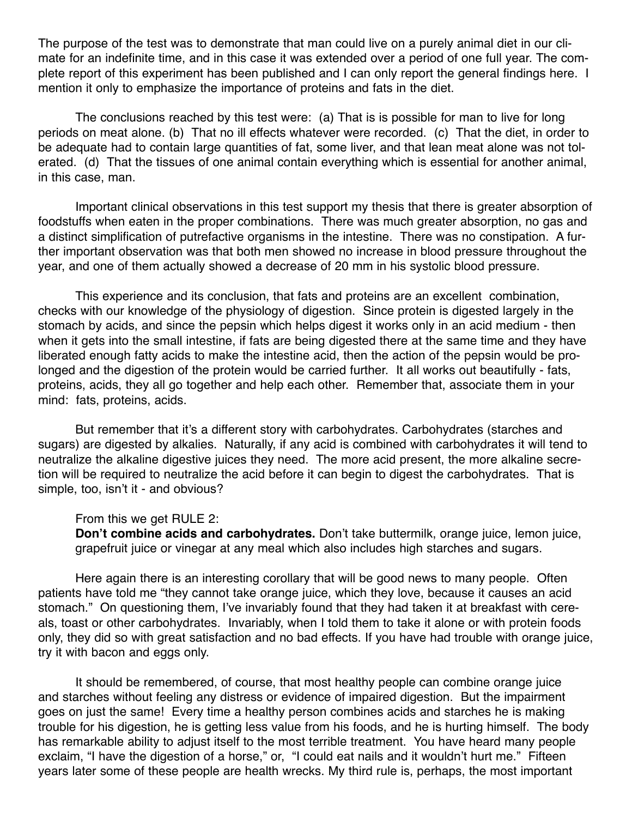The purpose of the test was to demonstrate that man could live on a purely animal diet in our climate for an indefinite time, and in this case it was extended over a period of one full year. The complete report of this experiment has been published and I can only report the general findings here. I mention it only to emphasize the importance of proteins and fats in the diet.

 The conclusions reached by this test were: (a) That is is possible for man to live for long periods on meat alone. (b) That no ill effects whatever were recorded. (c) That the diet, in order to be adequate had to contain large quantities of fat, some liver, and that lean meat alone was not tolerated. (d) That the tissues of one animal contain everything which is essential for another animal, in this case, man.

 Important clinical observations in this test support my thesis that there is greater absorption of foodstuffs when eaten in the proper combinations. There was much greater absorption, no gas and a distinct simplification of putrefactive organisms in the intestine. There was no constipation. A further important observation was that both men showed no increase in blood pressure throughout the year, and one of them actually showed a decrease of 20 mm in his systolic blood pressure.

 This experience and its conclusion, that fats and proteins are an excellent combination, checks with our knowledge of the physiology of digestion. Since protein is digested largely in the stomach by acids, and since the pepsin which helps digest it works only in an acid medium - then when it gets into the small intestine, if fats are being digested there at the same time and they have liberated enough fatty acids to make the intestine acid, then the action of the pepsin would be prolonged and the digestion of the protein would be carried further. It all works out beautifully - fats, proteins, acids, they all go together and help each other. Remember that, associate them in your mind: fats, proteins, acids.

 But remember that it's a different story with carbohydrates. Carbohydrates (starches and sugars) are digested by alkalies. Naturally, if any acid is combined with carbohydrates it will tend to neutralize the alkaline digestive juices they need. The more acid present, the more alkaline secretion will be required to neutralize the acid before it can begin to digest the carbohydrates. That is simple, too, isn't it - and obvious?

From this we get RULE 2:

**Don't combine acids and carbohydrates.** Don't take buttermilk, orange juice, lemon juice, grapefruit juice or vinegar at any meal which also includes high starches and sugars.

 Here again there is an interesting corollary that will be good news to many people. Often patients have told me "they cannot take orange juice, which they love, because it causes an acid stomach." On questioning them, I've invariably found that they had taken it at breakfast with cereals, toast or other carbohydrates. Invariably, when I told them to take it alone or with protein foods only, they did so with great satisfaction and no bad effects. If you have had trouble with orange juice, try it with bacon and eggs only.

 It should be remembered, of course, that most healthy people can combine orange juice and starches without feeling any distress or evidence of impaired digestion. But the impairment goes on just the same! Every time a healthy person combines acids and starches he is making trouble for his digestion, he is getting less value from his foods, and he is hurting himself. The body has remarkable ability to adjust itself to the most terrible treatment. You have heard many people exclaim, "I have the digestion of a horse," or, "I could eat nails and it wouldn't hurt me." Fifteen years later some of these people are health wrecks. My third rule is, perhaps, the most important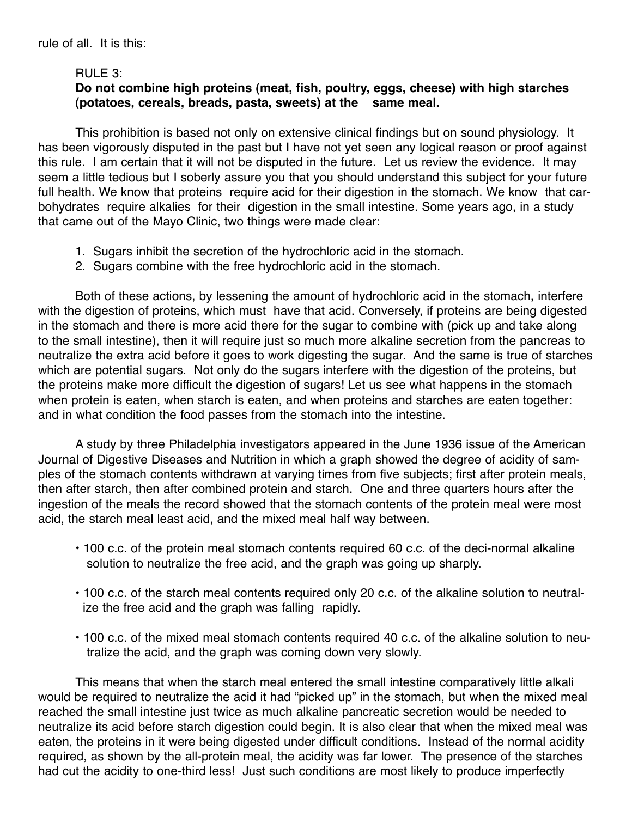### RULE 3:

# **Do not combine high proteins (meat, fish, poultry, eggs, cheese) with high starches (potatoes, cereals, breads, pasta, sweets) at the same meal.**

 This prohibition is based not only on extensive clinical findings but on sound physiology. It has been vigorously disputed in the past but I have not yet seen any logical reason or proof against this rule. I am certain that it will not be disputed in the future. Let us review the evidence. It may seem a little tedious but I soberly assure you that you should understand this subject for your future full health. We know that proteins require acid for their digestion in the stomach. We know that carbohydrates require alkalies for their digestion in the small intestine. Some years ago, in a study that came out of the Mayo Clinic, two things were made clear:

- 1. Sugars inhibit the secretion of the hydrochloric acid in the stomach.
- 2. Sugars combine with the free hydrochloric acid in the stomach.

 Both of these actions, by lessening the amount of hydrochloric acid in the stomach, interfere with the digestion of proteins, which must have that acid. Conversely, if proteins are being digested in the stomach and there is more acid there for the sugar to combine with (pick up and take along to the small intestine), then it will require just so much more alkaline secretion from the pancreas to neutralize the extra acid before it goes to work digesting the sugar. And the same is true of starches which are potential sugars. Not only do the sugars interfere with the digestion of the proteins, but the proteins make more difficult the digestion of sugars! Let us see what happens in the stomach when protein is eaten, when starch is eaten, and when proteins and starches are eaten together: and in what condition the food passes from the stomach into the intestine.

 A study by three Philadelphia investigators appeared in the June 1936 issue of the American Journal of Digestive Diseases and Nutrition in which a graph showed the degree of acidity of samples of the stomach contents withdrawn at varying times from five subjects; first after protein meals, then after starch, then after combined protein and starch. One and three quarters hours after the ingestion of the meals the record showed that the stomach contents of the protein meal were most acid, the starch meal least acid, and the mixed meal half way between.

- 100 c.c. of the protein meal stomach contents required 60 c.c. of the deci-normal alkaline solution to neutralize the free acid, and the graph was going up sharply.
- 100 c.c. of the starch meal contents required only 20 c.c. of the alkaline solution to neutral ize the free acid and the graph was falling rapidly.
- 100 c.c. of the mixed meal stomach contents required 40 c.c. of the alkaline solution to neu tralize the acid, and the graph was coming down very slowly.

 This means that when the starch meal entered the small intestine comparatively little alkali would be required to neutralize the acid it had "picked up" in the stomach, but when the mixed meal reached the small intestine just twice as much alkaline pancreatic secretion would be needed to neutralize its acid before starch digestion could begin. It is also clear that when the mixed meal was eaten, the proteins in it were being digested under difficult conditions. Instead of the normal acidity required, as shown by the all-protein meal, the acidity was far lower. The presence of the starches had cut the acidity to one-third less! Just such conditions are most likely to produce imperfectly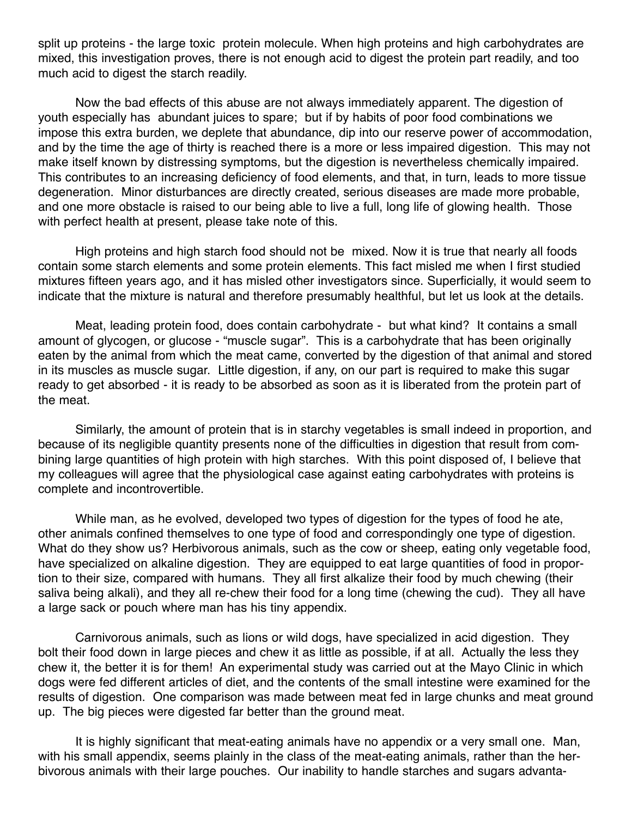split up proteins - the large toxic protein molecule. When high proteins and high carbohydrates are mixed, this investigation proves, there is not enough acid to digest the protein part readily, and too much acid to digest the starch readily.

 Now the bad effects of this abuse are not always immediately apparent. The digestion of youth especially has abundant juices to spare; but if by habits of poor food combinations we impose this extra burden, we deplete that abundance, dip into our reserve power of accommodation, and by the time the age of thirty is reached there is a more or less impaired digestion. This may not make itself known by distressing symptoms, but the digestion is nevertheless chemically impaired. This contributes to an increasing deficiency of food elements, and that, in turn, leads to more tissue degeneration. Minor disturbances are directly created, serious diseases are made more probable, and one more obstacle is raised to our being able to live a full, long life of glowing health. Those with perfect health at present, please take note of this.

 High proteins and high starch food should not be mixed. Now it is true that nearly all foods contain some starch elements and some protein elements. This fact misled me when I first studied mixtures fifteen years ago, and it has misled other investigators since. Superficially, it would seem to indicate that the mixture is natural and therefore presumably healthful, but let us look at the details.

 Meat, leading protein food, does contain carbohydrate - but what kind? It contains a small amount of glycogen, or glucose - "muscle sugar". This is a carbohydrate that has been originally eaten by the animal from which the meat came, converted by the digestion of that animal and stored in its muscles as muscle sugar. Little digestion, if any, on our part is required to make this sugar ready to get absorbed - it is ready to be absorbed as soon as it is liberated from the protein part of the meat.

 Similarly, the amount of protein that is in starchy vegetables is small indeed in proportion, and because of its negligible quantity presents none of the difficulties in digestion that result from combining large quantities of high protein with high starches. With this point disposed of, I believe that my colleagues will agree that the physiological case against eating carbohydrates with proteins is complete and incontrovertible.

 While man, as he evolved, developed two types of digestion for the types of food he ate, other animals confined themselves to one type of food and correspondingly one type of digestion. What do they show us? Herbivorous animals, such as the cow or sheep, eating only vegetable food, have specialized on alkaline digestion. They are equipped to eat large quantities of food in proportion to their size, compared with humans. They all first alkalize their food by much chewing (their saliva being alkali), and they all re-chew their food for a long time (chewing the cud). They all have a large sack or pouch where man has his tiny appendix.

 Carnivorous animals, such as lions or wild dogs, have specialized in acid digestion. They bolt their food down in large pieces and chew it as little as possible, if at all. Actually the less they chew it, the better it is for them! An experimental study was carried out at the Mayo Clinic in which dogs were fed different articles of diet, and the contents of the small intestine were examined for the results of digestion. One comparison was made between meat fed in large chunks and meat ground up. The big pieces were digested far better than the ground meat.

 It is highly significant that meat-eating animals have no appendix or a very small one. Man, with his small appendix, seems plainly in the class of the meat-eating animals, rather than the herbivorous animals with their large pouches. Our inability to handle starches and sugars advanta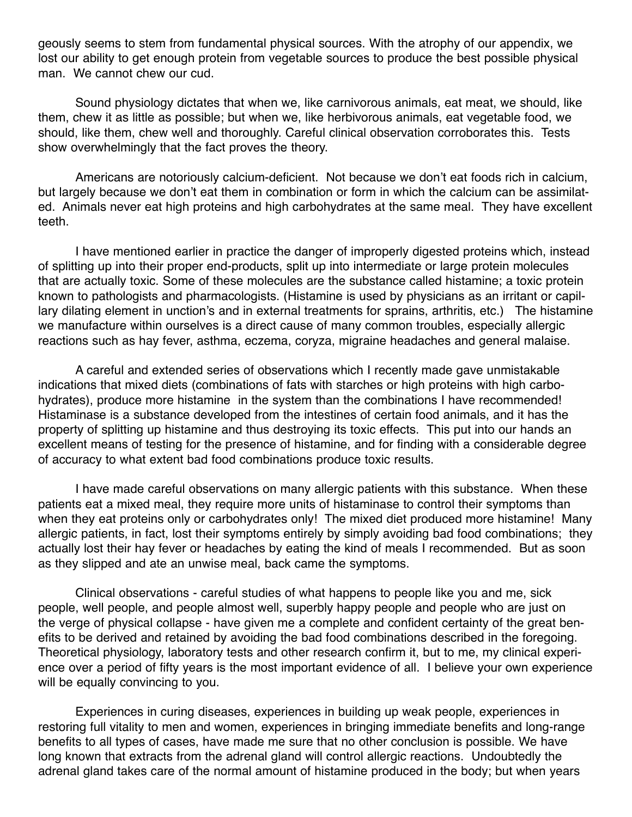geously seems to stem from fundamental physical sources. With the atrophy of our appendix, we lost our ability to get enough protein from vegetable sources to produce the best possible physical man. We cannot chew our cud.

 Sound physiology dictates that when we, like carnivorous animals, eat meat, we should, like them, chew it as little as possible; but when we, like herbivorous animals, eat vegetable food, we should, like them, chew well and thoroughly. Careful clinical observation corroborates this. Tests show overwhelmingly that the fact proves the theory.

 Americans are notoriously calcium-deficient. Not because we don't eat foods rich in calcium, but largely because we don't eat them in combination or form in which the calcium can be assimilated. Animals never eat high proteins and high carbohydrates at the same meal. They have excellent teeth.

 I have mentioned earlier in practice the danger of improperly digested proteins which, instead of splitting up into their proper end-products, split up into intermediate or large protein molecules that are actually toxic. Some of these molecules are the substance called histamine; a toxic protein known to pathologists and pharmacologists. (Histamine is used by physicians as an irritant or capillary dilating element in unction's and in external treatments for sprains, arthritis, etc.) The histamine we manufacture within ourselves is a direct cause of many common troubles, especially allergic reactions such as hay fever, asthma, eczema, coryza, migraine headaches and general malaise.

 A careful and extended series of observations which I recently made gave unmistakable indications that mixed diets (combinations of fats with starches or high proteins with high carbohydrates), produce more histamine in the system than the combinations I have recommended! Histaminase is a substance developed from the intestines of certain food animals, and it has the property of splitting up histamine and thus destroying its toxic effects. This put into our hands an excellent means of testing for the presence of histamine, and for finding with a considerable degree of accuracy to what extent bad food combinations produce toxic results.

 I have made careful observations on many allergic patients with this substance. When these patients eat a mixed meal, they require more units of histaminase to control their symptoms than when they eat proteins only or carbohydrates only! The mixed diet produced more histamine! Many allergic patients, in fact, lost their symptoms entirely by simply avoiding bad food combinations; they actually lost their hay fever or headaches by eating the kind of meals I recommended. But as soon as they slipped and ate an unwise meal, back came the symptoms.

 Clinical observations - careful studies of what happens to people like you and me, sick people, well people, and people almost well, superbly happy people and people who are just on the verge of physical collapse - have given me a complete and confident certainty of the great benefits to be derived and retained by avoiding the bad food combinations described in the foregoing. Theoretical physiology, laboratory tests and other research confirm it, but to me, my clinical experience over a period of fifty years is the most important evidence of all. I believe your own experience will be equally convincing to you.

 Experiences in curing diseases, experiences in building up weak people, experiences in restoring full vitality to men and women, experiences in bringing immediate benefits and long-range benefits to all types of cases, have made me sure that no other conclusion is possible. We have long known that extracts from the adrenal gland will control allergic reactions. Undoubtedly the adrenal gland takes care of the normal amount of histamine produced in the body; but when years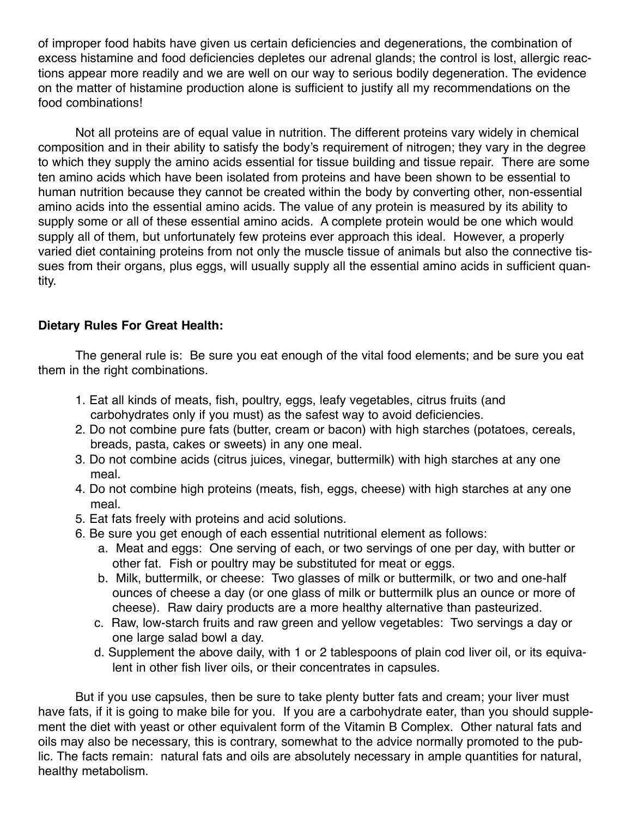of improper food habits have given us certain deficiencies and degenerations, the combination of excess histamine and food deficiencies depletes our adrenal glands; the control is lost, allergic reactions appear more readily and we are well on our way to serious bodily degeneration. The evidence on the matter of histamine production alone is sufficient to justify all my recommendations on the food combinations!

 Not all proteins are of equal value in nutrition. The different proteins vary widely in chemical composition and in their ability to satisfy the body's requirement of nitrogen; they vary in the degree to which they supply the amino acids essential for tissue building and tissue repair. There are some ten amino acids which have been isolated from proteins and have been shown to be essential to human nutrition because they cannot be created within the body by converting other, non-essential amino acids into the essential amino acids. The value of any protein is measured by its ability to supply some or all of these essential amino acids. A complete protein would be one which would supply all of them, but unfortunately few proteins ever approach this ideal. However, a properly varied diet containing proteins from not only the muscle tissue of animals but also the connective tissues from their organs, plus eggs, will usually supply all the essential amino acids in sufficient quantity.

# **Dietary Rules For Great Health:**

 The general rule is: Be sure you eat enough of the vital food elements; and be sure you eat them in the right combinations.

- 1. Eat all kinds of meats, fish, poultry, eggs, leafy vegetables, citrus fruits (and carbohydrates only if you must) as the safest way to avoid deficiencies.
- 2. Do not combine pure fats (butter, cream or bacon) with high starches (potatoes, cereals, breads, pasta, cakes or sweets) in any one meal.
- 3. Do not combine acids (citrus juices, vinegar, buttermilk) with high starches at any one meal.
- 4. Do not combine high proteins (meats, fish, eggs, cheese) with high starches at any one meal.
- 5. Eat fats freely with proteins and acid solutions.
- 6. Be sure you get enough of each essential nutritional element as follows:
	- a. Meat and eggs: One serving of each, or two servings of one per day, with butter or other fat. Fish or poultry may be substituted for meat or eggs.
	- b. Milk, buttermilk, or cheese: Two glasses of milk or buttermilk, or two and one-half ounces of cheese a day (or one glass of milk or buttermilk plus an ounce or more of cheese). Raw dairy products are a more healthy alternative than pasteurized.
	- c. Raw, low-starch fruits and raw green and yellow vegetables: Two servings a day or one large salad bowl a day.
	- d. Supplement the above daily, with 1 or 2 tablespoons of plain cod liver oil, or its equiva lent in other fish liver oils, or their concentrates in capsules.

 But if you use capsules, then be sure to take plenty butter fats and cream; your liver must have fats, if it is going to make bile for you. If you are a carbohydrate eater, than you should supplement the diet with yeast or other equivalent form of the Vitamin B Complex. Other natural fats and oils may also be necessary, this is contrary, somewhat to the advice normally promoted to the public. The facts remain: natural fats and oils are absolutely necessary in ample quantities for natural, healthy metabolism.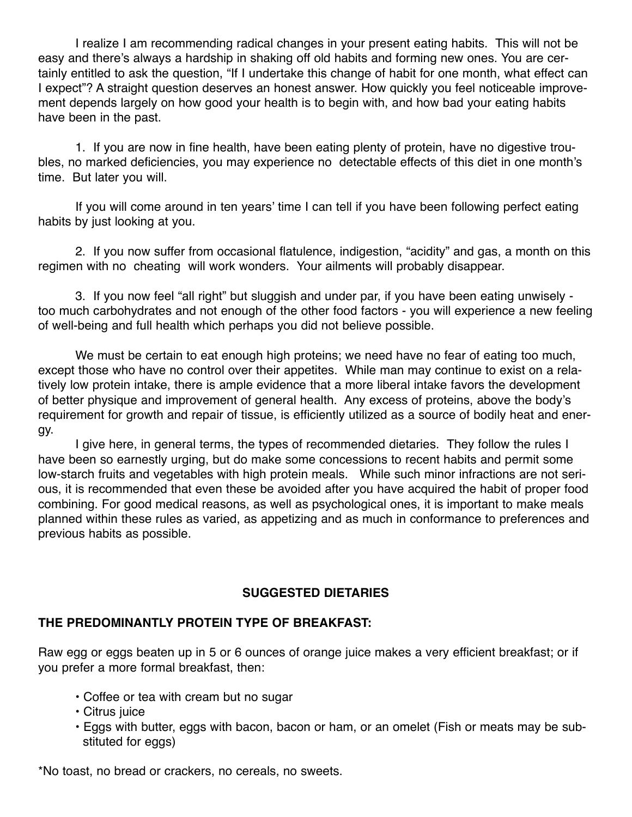I realize I am recommending radical changes in your present eating habits. This will not be easy and there's always a hardship in shaking off old habits and forming new ones. You are certainly entitled to ask the question, "If I undertake this change of habit for one month, what effect can I expect"? A straight question deserves an honest answer. How quickly you feel noticeable improvement depends largely on how good your health is to begin with, and how bad your eating habits have been in the past.

 1. If you are now in fine health, have been eating plenty of protein, have no digestive troubles, no marked deficiencies, you may experience no detectable effects of this diet in one month's time. But later you will.

 If you will come around in ten years' time I can tell if you have been following perfect eating habits by just looking at you.

 2. If you now suffer from occasional flatulence, indigestion, "acidity" and gas, a month on this regimen with no cheating will work wonders. Your ailments will probably disappear.

 3. If you now feel "all right" but sluggish and under par, if you have been eating unwisely too much carbohydrates and not enough of the other food factors - you will experience a new feeling of well-being and full health which perhaps you did not believe possible.

 We must be certain to eat enough high proteins; we need have no fear of eating too much, except those who have no control over their appetites. While man may continue to exist on a relatively low protein intake, there is ample evidence that a more liberal intake favors the development of better physique and improvement of general health. Any excess of proteins, above the body's requirement for growth and repair of tissue, is efficiently utilized as a source of bodily heat and energy.

 I give here, in general terms, the types of recommended dietaries. They follow the rules I have been so earnestly urging, but do make some concessions to recent habits and permit some low-starch fruits and vegetables with high protein meals. While such minor infractions are not serious, it is recommended that even these be avoided after you have acquired the habit of proper food combining. For good medical reasons, as well as psychological ones, it is important to make meals planned within these rules as varied, as appetizing and as much in conformance to preferences and previous habits as possible.

# **SUGGESTED DIETARIES**

# **THE PREDOMINANTLY PROTEIN TYPE OF BREAKFAST:**

Raw egg or eggs beaten up in 5 or 6 ounces of orange juice makes a very efficient breakfast; or if you prefer a more formal breakfast, then:

- Coffee or tea with cream but no sugar
- Citrus juice
- Eggs with butter, eggs with bacon, bacon or ham, or an omelet (Fish or meats may be sub stituted for eggs)

\*No toast, no bread or crackers, no cereals, no sweets.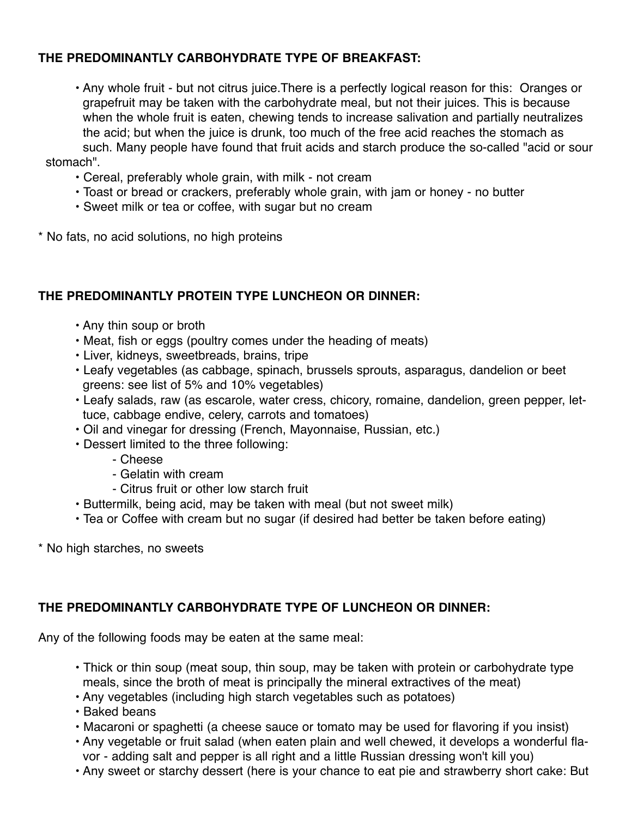# **THE PREDOMINANTLY CARBOHYDRATE TYPE OF BREAKFAST:**

 • Any whole fruit - but not citrus juice.There is a perfectly logical reason for this: Oranges or grapefruit may be taken with the carbohydrate meal, but not their juices. This is because when the whole fruit is eaten, chewing tends to increase salivation and partially neutralizes the acid; but when the juice is drunk, too much of the free acid reaches the stomach as such. Many people have found that fruit acids and starch produce the so-called "acid or sour stomach".

- Cereal, preferably whole grain, with milk not cream
- Toast or bread or crackers, preferably whole grain, with jam or honey no butter
- Sweet milk or tea or coffee, with sugar but no cream
- \* No fats, no acid solutions, no high proteins

# **THE PREDOMINANTLY PROTEIN TYPE LUNCHEON OR DINNER:**

- Any thin soup or broth
- Meat, fish or eggs (poultry comes under the heading of meats)
- Liver, kidneys, sweetbreads, brains, tripe
- Leafy vegetables (as cabbage, spinach, brussels sprouts, asparagus, dandelion or beet greens: see list of 5% and 10% vegetables)
- Leafy salads, raw (as escarole, water cress, chicory, romaine, dandelion, green pepper, let tuce, cabbage endive, celery, carrots and tomatoes)
- Oil and vinegar for dressing (French, Mayonnaise, Russian, etc.)
- Dessert limited to the three following:
	- Cheese
	- Gelatin with cream
	- Citrus fruit or other low starch fruit
- Buttermilk, being acid, may be taken with meal (but not sweet milk)
- Tea or Coffee with cream but no sugar (if desired had better be taken before eating)
- \* No high starches, no sweets

# **THE PREDOMINANTLY CARBOHYDRATE TYPE OF LUNCHEON OR DINNER:**

Any of the following foods may be eaten at the same meal:

- Thick or thin soup (meat soup, thin soup, may be taken with protein or carbohydrate type meals, since the broth of meat is principally the mineral extractives of the meat)
- Any vegetables (including high starch vegetables such as potatoes)
- Baked beans
- Macaroni or spaghetti (a cheese sauce or tomato may be used for flavoring if you insist)
- Any vegetable or fruit salad (when eaten plain and well chewed, it develops a wonderful fla vor - adding salt and pepper is all right and a little Russian dressing won't kill you)
- Any sweet or starchy dessert (here is your chance to eat pie and strawberry short cake: But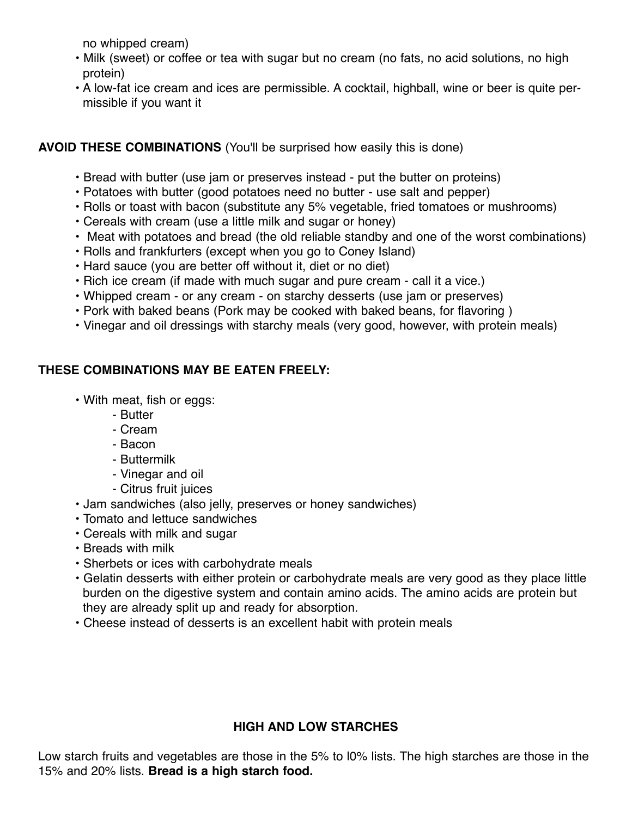no whipped cream)

- Milk (sweet) or coffee or tea with sugar but no cream (no fats, no acid solutions, no high protein)
- A low-fat ice cream and ices are permissible. A cocktail, highball, wine or beer is quite per missible if you want it

# **AVOID THESE COMBINATIONS** (You'll be surprised how easily this is done)

- Bread with butter (use jam or preserves instead put the butter on proteins)
- Potatoes with butter (good potatoes need no butter use salt and pepper)
- Rolls or toast with bacon (substitute any 5% vegetable, fried tomatoes or mushrooms)
- Cereals with cream (use a little milk and sugar or honey)
- Meat with potatoes and bread (the old reliable standby and one of the worst combinations)
- Rolls and frankfurters (except when you go to Coney Island)
- Hard sauce (you are better off without it, diet or no diet)
- Rich ice cream (if made with much sugar and pure cream call it a vice.)
- Whipped cream or any cream on starchy desserts (use jam or preserves)
- Pork with baked beans (Pork may be cooked with baked beans, for flavoring )
- Vinegar and oil dressings with starchy meals (very good, however, with protein meals)

# **THESE COMBINATIONS MAY BE EATEN FREELY:**

- With meat, fish or eggs:
	- Butter
	- Cream
	- Bacon
	- Buttermilk
	- Vinegar and oil
	- Citrus fruit juices
- Jam sandwiches (also jelly, preserves or honey sandwiches)
- Tomato and lettuce sandwiches
- Cereals with milk and sugar
- Breads with milk
- Sherbets or ices with carbohydrate meals
- Gelatin desserts with either protein or carbohydrate meals are very good as they place little burden on the digestive system and contain amino acids. The amino acids are protein but they are already split up and ready for absorption.
- Cheese instead of desserts is an excellent habit with protein meals

# **HIGH AND LOW STARCHES**

Low starch fruits and vegetables are those in the 5% to l0% lists. The high starches are those in the 15% and 20% lists. **Bread is a high starch food.**